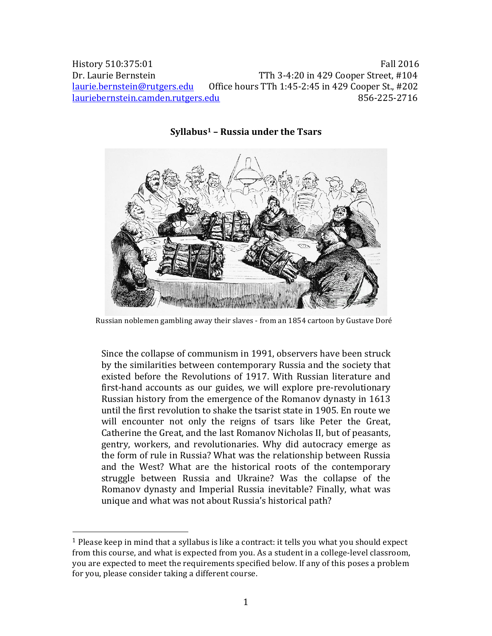History 510:375:01 Fall 2016 Dr. Laurie Bernstein TTh 3-4:20 in 429 Cooper Street, #104 laurie.bernstein@rutgers.edu Office hours TTh 1:45-2:45 in 429 Cooper St., #202 lauriebernstein.camden.rutgers.edu 856-225-2716



**Syllabus1 – Russia under the Tsars**

Since the collapse of communism in 1991, observers have been struck by the similarities between contemporary Russia and the society that existed before the Revolutions of 1917. With Russian literature and first-hand accounts as our guides, we will explore pre-revolutionary Russian history from the emergence of the Romanov dynasty in 1613 until the first revolution to shake the tsarist state in 1905. En route we will encounter not only the reigns of tsars like Peter the Great, Catherine the Great, and the last Romanov Nicholas II, but of peasants, gentry, workers, and revolutionaries. Why did autocracy emerge as the form of rule in Russia? What was the relationship between Russia and the West? What are the historical roots of the contemporary struggle between Russia and Ukraine? Was the collapse of the Romanov dynasty and Imperial Russia inevitable? Finally, what was unique and what was not about Russia's historical path?

 

Russian noblemen gambling away their slaves - from an 1854 cartoon by Gustave Doré

<sup>&</sup>lt;sup>1</sup> Please keep in mind that a syllabus is like a contract: it tells you what you should expect from this course, and what is expected from you. As a student in a college-level classroom, you are expected to meet the requirements specified below. If any of this poses a problem for you, please consider taking a different course.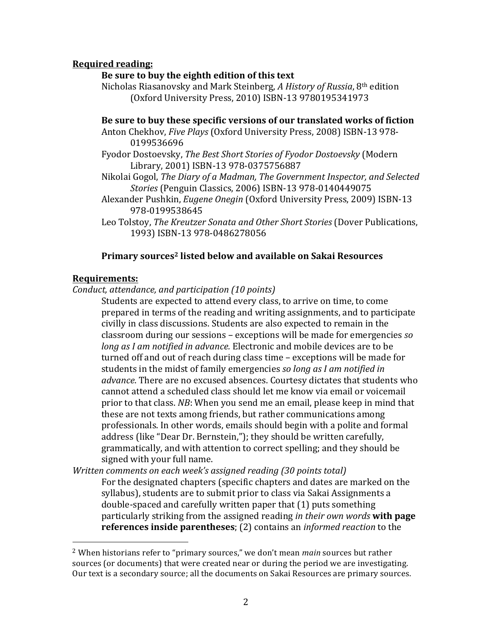### **Required reading:**

### Be sure to buy the eighth edition of this text

Nicholas Riasanovsky and Mark Steinberg, *A History of Russia*, 8<sup>th</sup> edition (Oxford University Press, 2010) ISBN-13 9780195341973

#### Be sure to buy these specific versions of our translated works of fiction

- Anton Chekhov, *Five Plays* (Oxford University Press, 2008) ISBN-13 978-0199536696
- Fyodor Dostoevsky, The Best Short Stories of Fyodor Dostoevsky (Modern Library, 2001) ISBN-13 978-0375756887
- Nikolai Gogol, *The Diary of a Madman, The Government Inspector, and Selected Stories* (Penguin Classics, 2006) ISBN-13 978-0140449075
- Alexander Pushkin, *Eugene Onegin* (Oxford University Press, 2009) ISBN-13 978-0199538645
- Leo Tolstoy, *The Kreutzer Sonata and Other Short Stories* (Dover Publications, 1993) ISBN-13 978-0486278056

#### **Primary sources<sup>2</sup> listed below and available on Sakai Resources**

#### **Requirements:**

 

*Conduct, attendance, and participation (10 points)*

Students are expected to attend every class, to arrive on time, to come prepared in terms of the reading and writing assignments, and to participate civilly in class discussions. Students are also expected to remain in the classroom during our sessions – exceptions will be made for emergencies *so long as I am notified in advance.* Electronic and mobile devices are to be turned off and out of reach during class time – exceptions will be made for students in the midst of family emergencies *so long as I am notified in advance*. There are no excused absences. Courtesy dictates that students who cannot attend a scheduled class should let me know via email or voicemail prior to that class. *NB*: When you send me an email, please keep in mind that these are not texts among friends, but rather communications among professionals. In other words, emails should begin with a polite and formal address (like "Dear Dr. Bernstein,"); they should be written carefully, grammatically, and with attention to correct spelling; and they should be signed with your full name.

*Written comments on each week's assigned reading (30 points total)* For the designated chapters (specific chapters and dates are marked on the syllabus), students are to submit prior to class via Sakai Assignments a double-spaced and carefully written paper that (1) puts something particularly striking from the assigned reading *in their own words* with page **references inside parentheses**; (2) contains an *informed reaction* to the

<sup>&</sup>lt;sup>2</sup> When historians refer to "primary sources," we don't mean *main* sources but rather sources (or documents) that were created near or during the period we are investigating. Our text is a secondary source; all the documents on Sakai Resources are primary sources.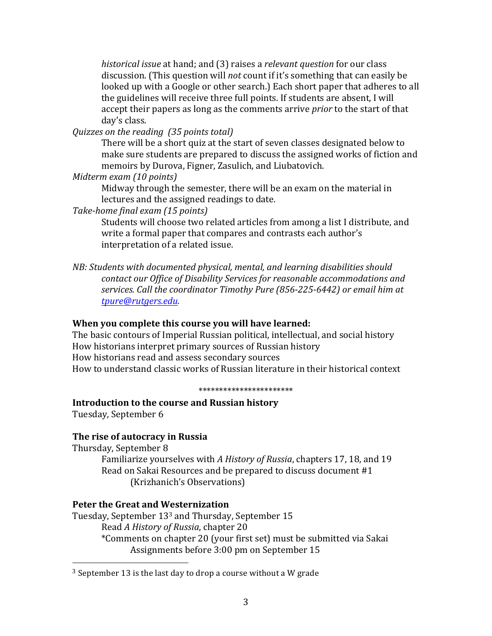*historical issue* at hand; and (3) raises a *relevant question* for our class discussion. (This question will *not* count if it's something that can easily be looked up with a Google or other search.) Each short paper that adheres to all the guidelines will receive three full points. If students are absent, I will accept their papers as long as the comments arrive *prior* to the start of that day's class.

*Quizzes on the reading (35 points total)*

There will be a short quiz at the start of seven classes designated below to make sure students are prepared to discuss the assigned works of fiction and memoirs by Durova, Figner, Zasulich, and Liubatovich.

*Midterm exam (10 points)*

Midway through the semester, there will be an exam on the material in lectures and the assigned readings to date.

*Take-home final exam (15 points)*

Students will choose two related articles from among a list I distribute, and write a formal paper that compares and contrasts each author's interpretation of a related issue.

*NB: Students with documented physical, mental, and learning disabilities should contact our Office of Disability Services for reasonable accommodations and services. Call the coordinator Timothy Pure (856-225-6442) or email him at tpure@rutgers.edu.*

# **When you complete this course you will have learned:**

The basic contours of Imperial Russian political, intellectual, and social history How historians interpret primary sources of Russian history How historians read and assess secondary sources How to understand classic works of Russian literature in their historical context

#### \*\*\*\*\*\*\*\*\*\*\*\*\*\*\*\*\*\*\*\*\*\*\*

#### **Introduction to the course and Russian history**

Tuesday, September 6

#### **The rise of autocracy in Russia**

Thursday, September 8 Familiarize yourselves with *A History of Russia*, chapters 17, 18, and 19 Read on Sakai Resources and be prepared to discuss document #1 (Krizhanich's Observations)

### **Peter the Great and Westernization**

 

Tuesday, September 133 and Thursday, September 15 Read *A History of Russia*, chapter 20 \*Comments on chapter 20 (your first set) must be submitted via Sakai Assignments before 3:00 pm on September 15

 $3$  September 13 is the last day to drop a course without a W grade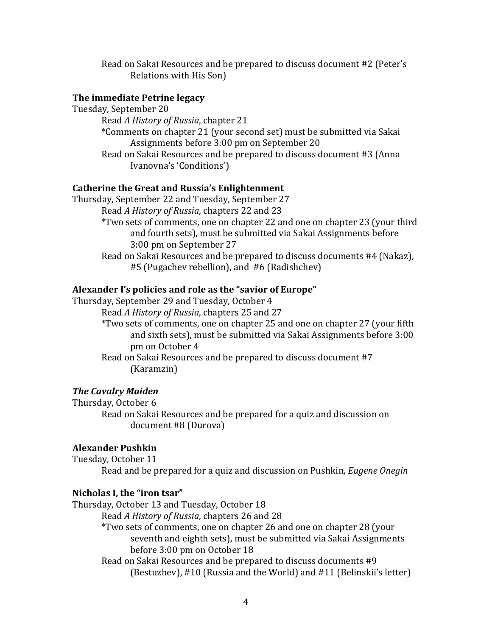Read on Sakai Resources and be prepared to discuss document #2 (Peter's Relations with His Son)

#### **The immediate Petrine legacy**

Tuesday, September 20 Read *A History of Russia*, chapter 21 \*Comments on chapter 21 (your second set) must be submitted via Sakai Assignments before 3:00 pm on September 20 Read on Sakai Resources and be prepared to discuss document #3 (Anna Ivanovna's 'Conditions')

### **Catherine the Great and Russia's Enlightenment**

Thursday, September 22 and Tuesday, September 27 Read *A History of Russia*, chapters 22 and 23 \*Two sets of comments, one on chapter 22 and one on chapter 23 (your third and fourth sets), must be submitted via Sakai Assignments before 3:00 pm on September 27 Read on Sakai Resources and be prepared to discuss documents #4 (Nakaz),

#5 (Pugachev rebellion), and #6 (Radishchev)

#### **Alexander I's policies and role as the "savior of Europe"**

Thursday, September 29 and Tuesday, October 4

Read *A History of Russia*, chapters 25 and 27

\*Two sets of comments, one on chapter 25 and one on chapter 27 (your fifth and sixth sets), must be submitted via Sakai Assignments before 3:00 pm on October 4

Read on Sakai Resources and be prepared to discuss document #7 (Karamzin)

#### **The Cavalry Maiden**

Thursday, October 6 Read on Sakai Resources and be prepared for a quiz and discussion on document #8 (Durova)

#### **Alexander Pushkin**

Tuesday, October 11

Read and be prepared for a quiz and discussion on Pushkin, *Eugene Onegin*

#### **Nicholas I, the "iron tsar"**

Thursday, October 13 and Tuesday, October 18 Read *A History of Russia*, chapters 26 and 28 \*Two sets of comments, one on chapter 26 and one on chapter 28 (your seventh and eighth sets), must be submitted via Sakai Assignments before 3:00 pm on October 18 Read on Sakai Resources and be prepared to discuss documents #9 (Bestuzhev), #10 (Russia and the World) and #11 (Belinskii's letter)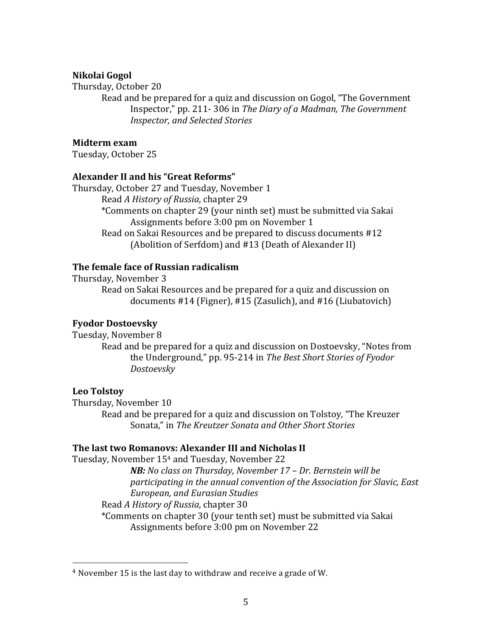### **Nikolai Gogol**

#### Thursday, October 20

Read and be prepared for a quiz and discussion on Gogol, "The Government Inspector," pp. 211- 306 in *The Diary of a Madman, The Government Inspector, and Selected Stories*

### **Midterm exam**

Tuesday, October 25

### **Alexander II and his "Great Reforms"**

Thursday, October 27 and Tuesday, November 1 Read *A History of Russia*, chapter 29 \*Comments on chapter 29 (your ninth set) must be submitted via Sakai Assignments before 3:00 pm on November 1 Read on Sakai Resources and be prepared to discuss documents #12 (Abolition of Serfdom) and #13 (Death of Alexander II)

# **The female face of Russian radicalism**

Thursday, November 3

Read on Sakai Resources and be prepared for a quiz and discussion on documents #14 (Figner), #15 (Zasulich), and #16 (Liubatovich)

#### **Fyodor Dostoevsky**

Tuesday, November 8

Read and be prepared for a quiz and discussion on Dostoevsky, "Notes from the Underground," pp. 95-214 in *The Best Short Stories of Fyodor Dostoevsky*

#### **Leo Tolstoy**

Thursday, November 10 Read and be prepared for a quiz and discussion on Tolstoy, "The Kreuzer Sonata," in *The Kreutzer Sonata and Other Short Stories*

# **The last two Romanovs: Alexander III and Nicholas II**

Tuesday, November 154 and Tuesday, November 22

*NB: No class on Thursday, November 17 – Dr. Bernstein will be participating in the annual convention of the Association for Slavic, East European, and Eurasian Studies*

Read *A History of Russia*, chapter 30

 

\*Comments on chapter 30 (your tenth set) must be submitted via Sakai Assignments before 3:00 pm on November 22

 $4$  November 15 is the last day to withdraw and receive a grade of W.